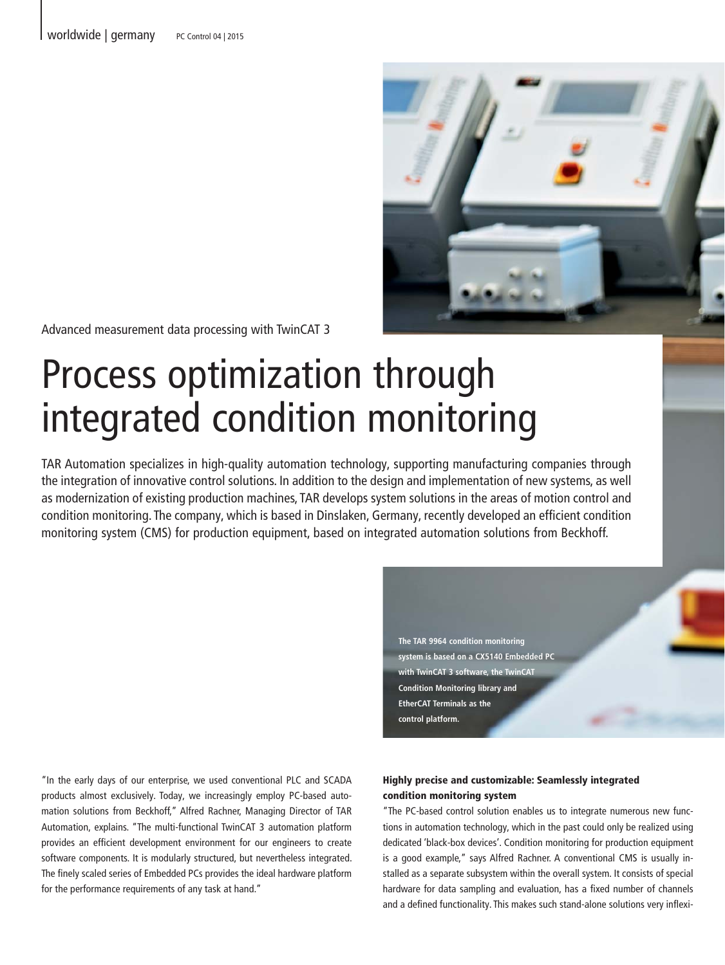

Advanced measurement data processing with TwinCAT 3

# Process optimization through integrated condition monitoring

TAR Automation specializes in high-quality automation technology, supporting manufacturing companies through the integration of innovative control solutions. In addition to the design and implementation of new systems, as well as modernization of existing production machines, TAR develops system solutions in the areas of motion control and condition monitoring. The company, which is based in Dinslaken, Germany, recently developed an efficient condition monitoring system (CMS) for production equipment, based on integrated automation solutions from Beckhoff.

> **The TAR 9964 condition monitoring**  system is based on a CX5140 Embedded P **with TwinCAT 3 software, the TwinCAT Condition Monitoring library and EtherCAT Terminals as the control platform.**

"In the early days of our enterprise, we used conventional PLC and SCADA products almost exclusively. Today, we increasingly employ PC-based automation solutions from Beckhoff," Alfred Rachner, Managing Director of TAR Automation, explains. "The multi-functional TwinCAT 3 automation platform provides an efficient development environment for our engineers to create software components. It is modularly structured, but nevertheless integrated. The finely scaled series of Embedded PCs provides the ideal hardware platform for the performance requirements of any task at hand."

# Highly precise and customizable: Seamlessly integrated condition monitoring system

"The PC-based control solution enables us to integrate numerous new functions in automation technology, which in the past could only be realized using dedicated 'black-box devices'. Condition monitoring for production equipment is a good example," says Alfred Rachner. A conventional CMS is usually installed as a separate subsystem within the overall system. It consists of special hardware for data sampling and evaluation, has a fixed number of channels and a defined functionality. This makes such stand-alone solutions very inflexi-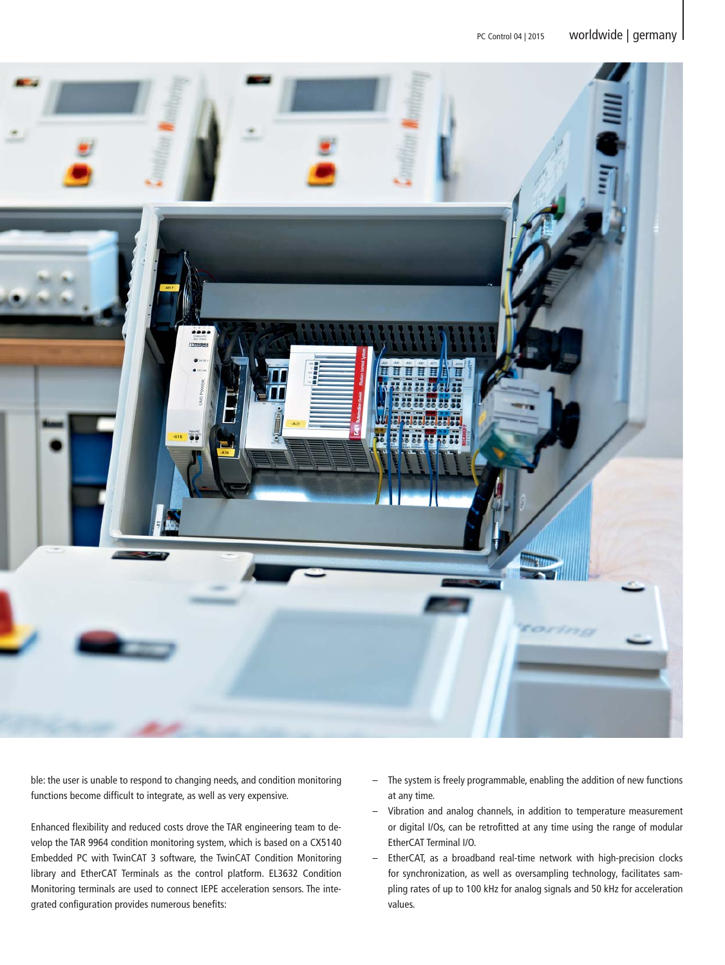

ble: the user is unable to respond to changing needs, and condition monitoring functions become difficult to integrate, as well as very expensive.

Enhanced flexibility and reduced costs drove the TAR engineering team to develop the TAR 9964 condition monitoring system, which is based on a CX5140 Embedded PC with TwinCAT 3 software, the TwinCAT Condition Monitoring library and EtherCAT Terminals as the control platform. EL3632 Condition Monitoring terminals are used to connect IEPE acceleration sensors. The integrated configuration provides numerous benefits:

- The system is freely programmable, enabling the addition of new functions at any time.
- Vibration and analog channels, in addition to temperature measurement or digital I/Os, can be retrofitted at any time using the range of modular EtherCAT Terminal I/O.
- EtherCAT, as a broadband real-time network with high-precision clocks for synchronization, as well as oversampling technology, facilitates sampling rates of up to 100 kHz for analog signals and 50 kHz for acceleration values.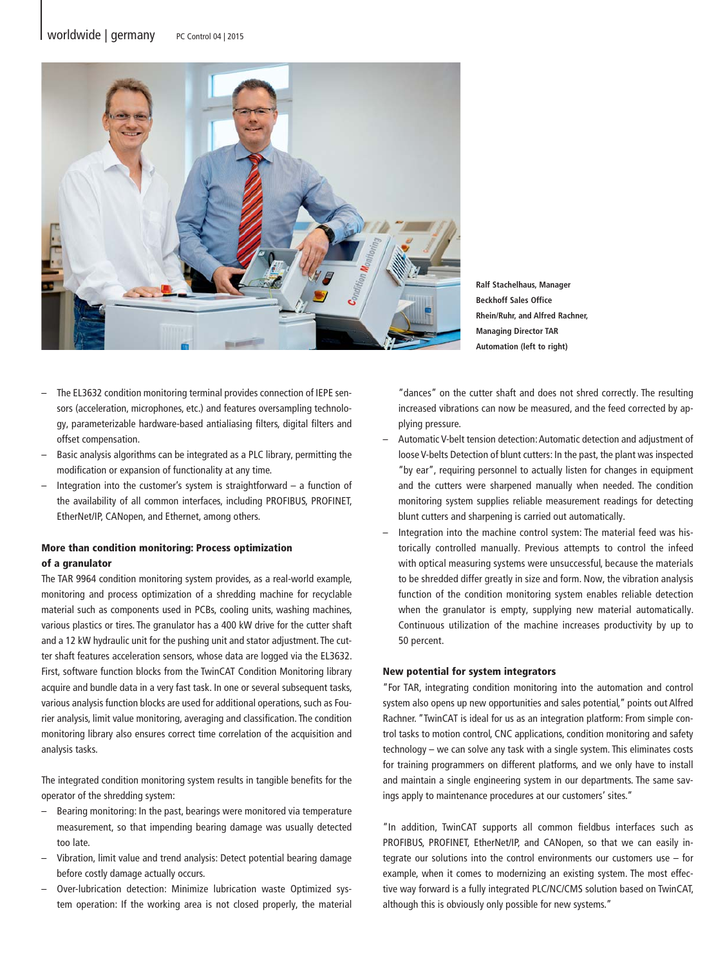

**Ralf Stachelhaus, Manager Beckhoff Sales Office Rhein/Ruhr, and Alfred Rachner, Managing Director TAR Automation (left to right)** 

- The EL3632 condition monitoring terminal provides connection of IEPE sensors (acceleration, microphones, etc.) and features oversampling technology, parameterizable hardware-based antialiasing filters, digital filters and offset compensation.
- Basic analysis algorithms can be integrated as a PLC library, permitting the modification or expansion of functionality at any time.
- Integration into the customer's system is straightforward  $-$  a function of the availability of all common interfaces, including PROFIBUS, PROFINET, EtherNet/IP, CANopen, and Ethernet, among others.

# More than condition monitoring: Process optimization of a granulator

The TAR 9964 condition monitoring system provides, as a real-world example, monitoring and process optimization of a shredding machine for recyclable material such as components used in PCBs, cooling units, washing machines, various plastics or tires. The granulator has a 400 kW drive for the cutter shaft and a 12 kW hydraulic unit for the pushing unit and stator adjustment. The cutter shaft features acceleration sensors, whose data are logged via the EL3632. First, software function blocks from the TwinCAT Condition Monitoring library acquire and bundle data in a very fast task. In one or several subsequent tasks, various analysis function blocks are used for additional operations, such as Fourier analysis, limit value monitoring, averaging and classification. The condition monitoring library also ensures correct time correlation of the acquisition and analysis tasks.

The integrated condition monitoring system results in tangible benefits for the operator of the shredding system:

- Bearing monitoring: In the past, bearings were monitored via temperature measurement, so that impending bearing damage was usually detected too late.
- Vibration, limit value and trend analysis: Detect potential bearing damage before costly damage actually occurs.
- Over-lubrication detection: Minimize lubrication waste Optimized system operation: If the working area is not closed properly, the material

"dances" on the cutter shaft and does not shred correctly. The resulting increased vibrations can now be measured, and the feed corrected by applying pressure.

- Automatic V-belt tension detection: Automatic detection and adjustment of loose V-belts Detection of blunt cutters: In the past, the plant was inspected "by ear", requiring personnel to actually listen for changes in equipment and the cutters were sharpened manually when needed. The condition monitoring system supplies reliable measurement readings for detecting blunt cutters and sharpening is carried out automatically.
- Integration into the machine control system: The material feed was historically controlled manually. Previous attempts to control the infeed with optical measuring systems were unsuccessful, because the materials to be shredded differ greatly in size and form. Now, the vibration analysis function of the condition monitoring system enables reliable detection when the granulator is empty, supplying new material automatically. Continuous utilization of the machine increases productivity by up to 50 percent.

#### New potential for system integrators

"For TAR, integrating condition monitoring into the automation and control system also opens up new opportunities and sales potential," points out Alfred Rachner. "TwinCAT is ideal for us as an integration platform: From simple control tasks to motion control, CNC applications, condition monitoring and safety technology – we can solve any task with a single system. This eliminates costs for training programmers on different platforms, and we only have to install and maintain a single engineering system in our departments. The same savings apply to maintenance procedures at our customers' sites."

"In addition, TwinCAT supports all common fieldbus interfaces such as PROFIBUS, PROFINET, EtherNet/IP, and CANopen, so that we can easily integrate our solutions into the control environments our customers use – for example, when it comes to modernizing an existing system. The most effective way forward is a fully integrated PLC/NC/CMS solution based on TwinCAT, although this is obviously only possible for new systems."